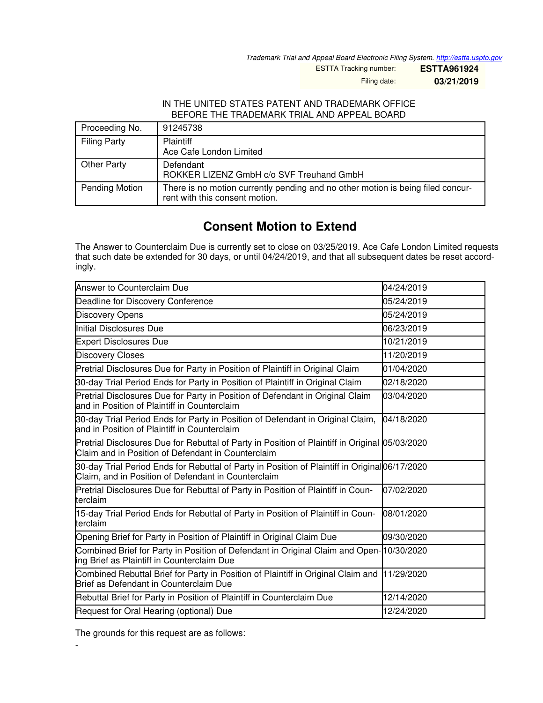*Trademark Trial and Appeal Board Electronic Filing System. <http://estta.uspto.gov>*

ESTTA Tracking number: **ESTTA961924**

Filing date: **03/21/2019**

## IN THE UNITED STATES PATENT AND TRADEMARK OFFICE BEFORE THE TRADEMARK TRIAL AND APPEAL BOARD

| Proceeding No.      | 91245738                                                                                                          |
|---------------------|-------------------------------------------------------------------------------------------------------------------|
| <b>Filing Party</b> | <b>Plaintiff</b><br>Ace Cafe London Limited                                                                       |
| Other Party         | Defendant<br>ROKKER LIZENZ GmbH c/o SVF Treuhand GmbH                                                             |
| Pending Motion      | There is no motion currently pending and no other motion is being filed concur-<br>rent with this consent motion. |

## **Consent Motion to Extend**

The Answer to Counterclaim Due is currently set to close on 03/25/2019. Ace Cafe London Limited requests that such date be extended for 30 days, or until 04/24/2019, and that all subsequent dates be reset accordingly.

| Answer to Counterclaim Due                                                                                                                           | 04/24/2019 |
|------------------------------------------------------------------------------------------------------------------------------------------------------|------------|
| Deadline for Discovery Conference                                                                                                                    | 05/24/2019 |
| <b>Discovery Opens</b>                                                                                                                               | 05/24/2019 |
| Initial Disclosures Due                                                                                                                              | 06/23/2019 |
| <b>Expert Disclosures Due</b>                                                                                                                        | 10/21/2019 |
| <b>Discovery Closes</b>                                                                                                                              | 11/20/2019 |
| Pretrial Disclosures Due for Party in Position of Plaintiff in Original Claim                                                                        | 01/04/2020 |
| 30-day Trial Period Ends for Party in Position of Plaintiff in Original Claim                                                                        | 02/18/2020 |
| Pretrial Disclosures Due for Party in Position of Defendant in Original Claim<br>and in Position of Plaintiff in Counterclaim                        | 03/04/2020 |
| 30-day Trial Period Ends for Party in Position of Defendant in Original Claim,<br>and in Position of Plaintiff in Counterclaim                       | 04/18/2020 |
| Pretrial Disclosures Due for Rebuttal of Party in Position of Plaintiff in Original 05/03/2020<br>Claim and in Position of Defendant in Counterclaim |            |
| 30-day Trial Period Ends for Rebuttal of Party in Position of Plaintiff in Original06/17/2020<br>Claim, and in Position of Defendant in Counterclaim |            |
| Pretrial Disclosures Due for Rebuttal of Party in Position of Plaintiff in Coun-<br>terclaim                                                         | 07/02/2020 |
| 15-day Trial Period Ends for Rebuttal of Party in Position of Plaintiff in Coun-<br>terclaim                                                         | 08/01/2020 |
| Opening Brief for Party in Position of Plaintiff in Original Claim Due                                                                               | 09/30/2020 |
| Combined Brief for Party in Position of Defendant in Original Claim and Open-10/30/2020<br>ing Brief as Plaintiff in Counterclaim Due                |            |
| Combined Rebuttal Brief for Party in Position of Plaintiff in Original Claim and<br>Brief as Defendant in Counterclaim Due                           | 11/29/2020 |
| Rebuttal Brief for Party in Position of Plaintiff in Counterclaim Due                                                                                | 12/14/2020 |
| Request for Oral Hearing (optional) Due                                                                                                              | 12/24/2020 |

The grounds for this request are as follows:

-